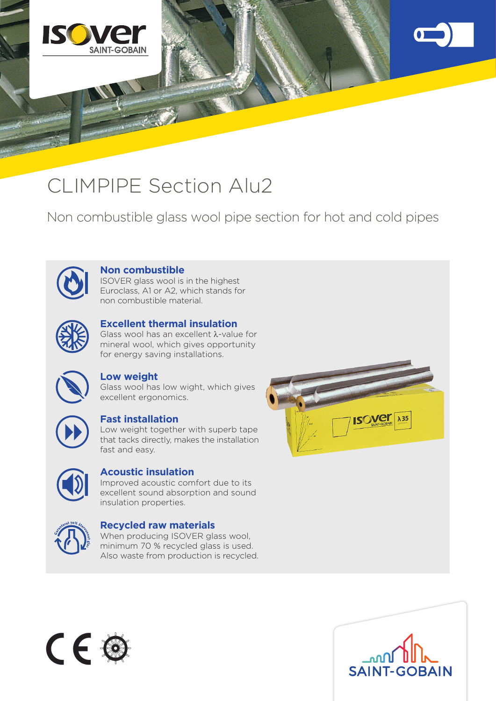

## CLIMPIPE Section Alu2

Non combustible glass wool pipe section for hot and cold pipes



### **Non combustible**

ISOVER glass wool is in the highest Euroclass, A1 or A2, which stands for non combustible material.



#### **Excellent thermal insulation**

Glass wool has an excellent  $\lambda$ -value for mineral wool, which gives opportunity for energy saving installations.



#### **Low weight**

Glass wool has low wight, which gives excellent ergonomics.



#### **Fast installation**

Low weight together with superb tape that tacks directly, makes the installation fast and easy.



### **Acoustic insulation**

Improved acoustic comfort due to its excellent sound absorption and sound insulation properties.



#### **Recycled raw materials**

When producing ISOVER glass wool, minimum 70 % recycled glass is used. Also waste from production is recycled.